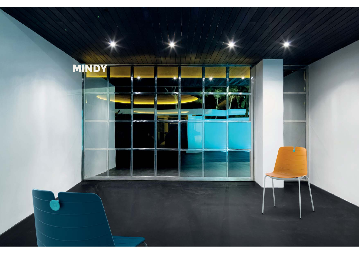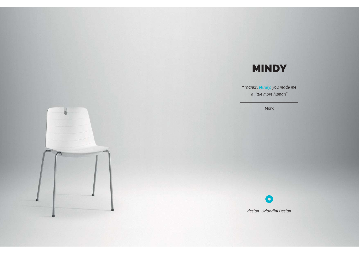# MINDY

"*Thanks, Mindy, you made me a little more human"*

Mork



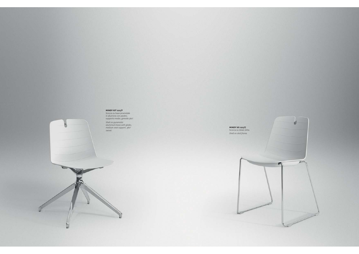#### **MINDY KIT 222/F**

Scocca su base piramidale in alluminio con piedini, supporto medio, girevole 360°. *Shell on pyramidal aluminium base with glides, medium seat support, 360° swivel.*

**MINDY kit 222/C** Scocca su telaio slitta. *Shell on skid frame.*

e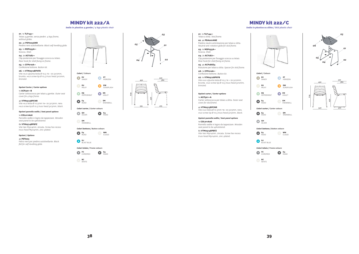# MINDY kit 222/A

*Sedia in plastica 4 gambe / 4 legs plastic chair*

*<sup>01</sup>*. 1x **TLF143••** Telaio 4 gambe, senza piedini. *4 legs frame, without glides.*

*<sup>02</sup>*. 4x **PDY003ANR** Piedino nero autolivellante. *Black self-levelling glide.*

*03.* 1x **MSP055A••**  Scocca. *Shell.*

 *04*. 2x **ACY287••** Clip posteriore per fissaggio scocca su telaio.

*Rear hook for shell fixing on frame. 05.* 1x **CFP010A••**

Confezione bottone. *Button kit.*

*06.* 1x **VTM0512BPXFB**  Vite HILO s/punta testa Ø 10,5 TB + DS 5x12mm, brunita. *hilo screw tip Ø 10,5 truss head 5x12mm, bronzed.*

## **Opzioni Carter** */ Carter options*

1x **ACP301••B** Carter sottoscocca per telaio 4 gambe. *Outer seat cover for 4 legs frame.*

#### 4x **VTM0513BPCNR**

Vite hilo testa Ø 10.5mm tb+ ds 5x13mm, nera. *hilo screw tip Ø 10.5 truss head 5x13mm, black.*

#### **Opzioni pannello sedile** */ Seat panel options* 1x **COL011A06**

Pannello sedile in legno da tappezzare. *Wooden seat panel to be upholstered.*

# 6x **VTM0514BPBFZ**

Vite tbei M5x14mm, zincata. *Screw hex recess truss head M5x14mm, zinc-plated.*

## **Opzioni** */ Options*

4x **PDT003**

Feltro nero per piedino autolivellante. *Black felt for self-levelling glide.*





**E4** ROAD

**EM** SNOWBALL

**GH** SILVER

**E4** ROAD

**EV** SANDY

**EU** MILKY

**EQ** PEPPERMINT

**GJ** BLAST BLUE

**FC** CHROMED**E4** ROAD*Colori telaio / Frame colours Colori telaio / Frame colours*





*03*



#### *<sup>01</sup>*. 1x **TLF144••** Telaio a slitta. *Skid frame.*

*<sup>02</sup>*. 4x **PDA001ANE** Piedino neutro antirotazione per telaio a slitta. *Neutral anti-rotation glide for skid frame. 03.* 1x **MSP055A••** 

Scocca. *Shell.04*. 2x **ACY287••**

Clip posteriore per fissaggio scocca su telaio. *Rear hook for shell fixing on frame. 05*. 4x **ACP286E4**

Riduzione per telaio a slitta. *Spacer for skid frame.*

*06.* 1x **CFP010A••**

*07.* 1x **VTM0512BPXFB**  Vite HILO s/punta testa Ø 10,5 TB + DS 5x12mm, brunita. *hilo screw tip Ø 10,5 truss head 5x12mm, bronzed.*

#### **Opzioni carter** */ Carter options*

1x **ACP301••A** Carter sottoscocca per telaio a slitta. *Outer seat cover for skid frame.*

4x **VTM0513BPCNR** Vite hilo testa Ø 10.5mm tb+ ds 5x13mm, nera. *Colori carter / Carter colours Colori carter / Carter colours hilo screw tip Ø 10.5 truss head 5x13mm, black.*

**Opzioni pannello sedile** */ Seat panel options* 1x **COL011A06** Pannello sedile in legno da tappezzare. *Wooden seat panel to be upholstered. Colori bottone / Button colours Colori bottone / Button colours*

6x **VTM0514BPBFZ** Vite tbei M5x14mm, zincata. *Screw hex recess truss head M5x14mm, zinc-plated.*





**BC** WHITE







MINDY kit 222/C*Sedia in plastica su slitta / Skid plastic chair*



**EV** SANDY

**ET** HORIZON

**EW** SUNSPLASH

**EN** VIOLET

**EM** EM<br>CNOWDALL

**EM** SNOWBALL

**EU** MILKY

**EQ** PEPPERMINT

**E4** ROAD

**E4** ROAD

**GH** SILVER





**E4** ROAD

**WN** CLOUD

**EN** VIOLET

**EM** SNOWBALL⊾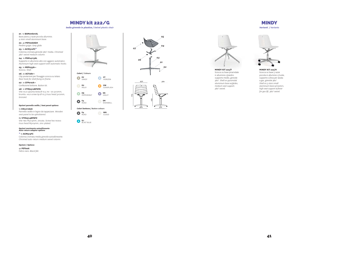# MINDY kit 222/G

*Sedia girevole in plastica / Swivel plastic chair*

*<sup>01</sup>*. 1x **BAM07601AL** Base piana 4 razze piccola alluminio. *4 stars small aluminium base.*

#### *<sup>02</sup>*. 4x **PDY006AGH** Piedino grigio. *Grey glide.*

*03.* 1x **ACM312FC\*** Colonna cromata girevole 360° media. *Chromed 360° swivel medium column.*

## *04*. 1x **PSM14113AL**

Supporto in alluminio alto con agganci automatici. *Aluminium high seat support with automatic hooks. 05.* 1x **MSP055A••**

Scocca. *Shell.*

*06*. 2x **ACY287••** Clip posteriore per fissaggio scocca su telaio. *Rear hook for shell fixing on frame.*

#### *07*. 1x **CFP010A••** Confezione bottone. *Button kit.*

#### *08*. 1x **VTM0512BPXFB**

Vite  $\mu$ ilo s/punta testa Ø 10,5 TB + ds 5x12mm, brunita. *hilo screw tip Ø 10,5 truss head 5x12mm, bronzed.*

#### **Opzioni pannello sedile** */ Seat panel options*

1x **COL011A06**

 Pannello sedile in legno da tappezzare. *Wooden seat panel to be upholstered.*

# 6x **VTM0514BPBFZ**

Vite tbei M5x14mm, zincata. *Screw hex recess truss head M5x14mm, zinc-plated.*

# **Opzioni movimento autoallineante** *Auto-return adaptor options*

#### **\*** 1x **ACM313FC**

Colonna cromata media girevole autoallineante. *Chromed auto-return medium swivel column.*

#### **Opzioni** */ Options*

4x **PDT006** Feltro nero. *Black felt.*











Scocca su base piramidale in alluminio c/piedini, supporto medio, girevole 360°. *Shell on pyramidal aluminium base w/glides, medium seat support, 360° swivel.*

MINDY*Varianti / Variants*

**MINDY KIT 222/H** Scocca su base 5 razze piccola in alluminio c/ruote, supporto c/leva per alzata a gas, girevole 360°. *Shell on 5 stars small aluminium base w/castors, high seat support w/lever for gas lift, 360° swivel.*

## **40 41**